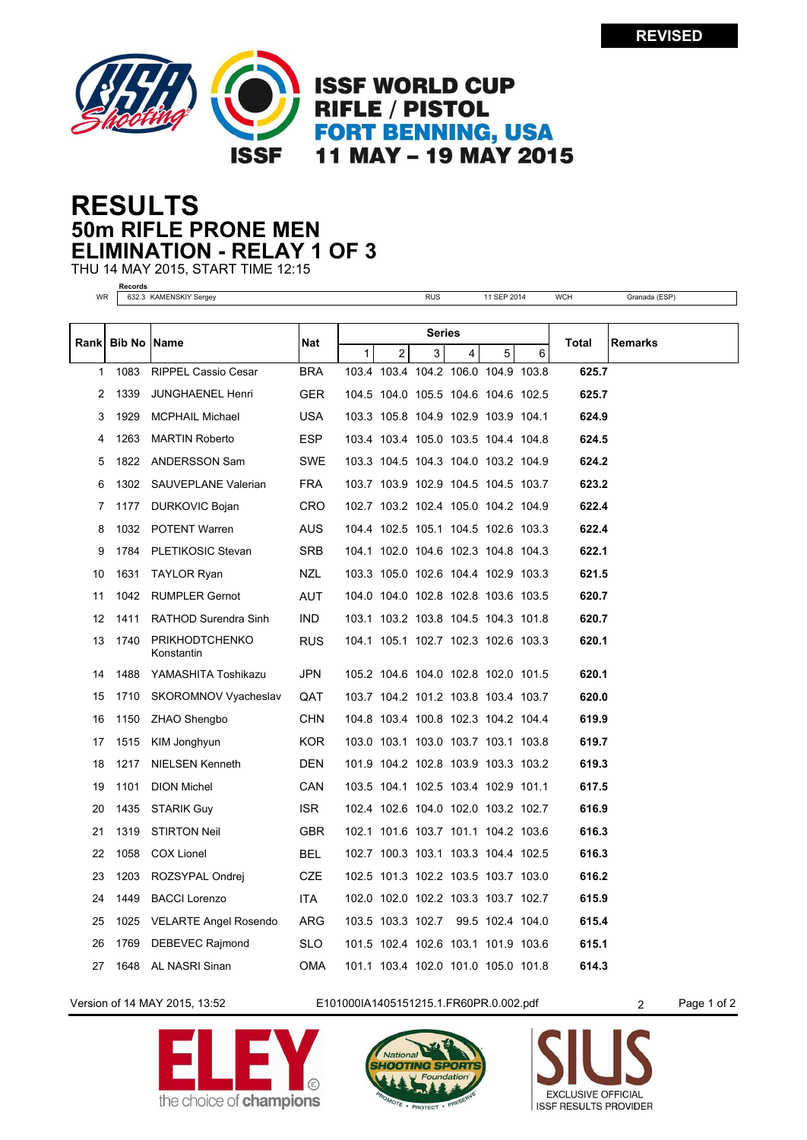

## **50m RIFLE PRONE MEN RESULTS ELIMINATION - RELAY 1 OF 3**

THU 14 MAY 2015, START TIME 12:15

**Records**

| WR          |                      | 632.3 KAMENSKIY Sergey              |            |        |                | <b>RUS</b> |                                     | 11 SEP 2014 |   | <b>WCH</b> | Granada (ESP)  |
|-------------|----------------------|-------------------------------------|------------|--------|----------------|------------|-------------------------------------|-------------|---|------------|----------------|
|             |                      |                                     |            |        |                |            |                                     |             |   |            |                |
| <b>Rank</b> | <b>Bib No   Name</b> |                                     | Nat        | Series |                |            |                                     |             |   | Total      | <b>Remarks</b> |
|             |                      |                                     |            | 1      | $\overline{2}$ | 3          | 4                                   | 5           | 6 |            |                |
| 1           | 1083                 | <b>RIPPEL Cassio Cesar</b>          | <b>BRA</b> |        |                |            | 103.4 103.4 104.2 106.0 104.9 103.8 |             |   | 625.7      |                |
| 2           | 1339                 | <b>JUNGHAENEL Henri</b>             | GER.       |        |                |            | 104.5 104.0 105.5 104.6 104.6 102.5 |             |   | 625.7      |                |
| 3           | 1929                 | <b>MCPHAIL Michael</b>              | USA        |        |                |            | 103.3 105.8 104.9 102.9 103.9 104.1 |             |   | 624.9      |                |
| 4           | 1263                 | <b>MARTIN Roberto</b>               | ESP        |        |                |            | 103.4 103.4 105.0 103.5 104.4 104.8 |             |   | 624.5      |                |
| 5           | 1822                 | <b>ANDERSSON Sam</b>                | SWE        |        |                |            | 103.3 104.5 104.3 104.0 103.2 104.9 |             |   | 624.2      |                |
| 6           | 1302                 | SAUVEPLANE Valerian                 | <b>FRA</b> |        |                |            | 103.7 103.9 102.9 104.5 104.5 103.7 |             |   | 623.2      |                |
| 7           | 1177                 | DURKOVIC Bojan                      | <b>CRO</b> |        |                |            | 102.7 103.2 102.4 105.0 104.2 104.9 |             |   | 622.4      |                |
| 8           | 1032                 | POTENT Warren                       | AUS        |        |                |            | 104.4 102.5 105.1 104.5 102.6 103.3 |             |   | 622.4      |                |
| 9           | 1784                 | PLETIKOSIC Stevan                   | <b>SRB</b> |        |                |            | 104.1 102.0 104.6 102.3 104.8 104.3 |             |   | 622.1      |                |
| 10          | 1631                 | <b>TAYLOR Ryan</b>                  | NZL        |        |                |            | 103.3 105.0 102.6 104.4 102.9 103.3 |             |   | 621.5      |                |
| 11          | 1042                 | <b>RUMPLER Gernot</b>               | AUT        |        |                |            | 104.0 104.0 102.8 102.8 103.6 103.5 |             |   | 620.7      |                |
| 12          | 1411                 | RATHOD Surendra Sinh                | IND.       |        |                |            | 103.1 103.2 103.8 104.5 104.3 101.8 |             |   | 620.7      |                |
| 13          | 1740                 | <b>PRIKHODTCHENKO</b><br>Konstantin | <b>RUS</b> |        |                |            | 104.1 105.1 102.7 102.3 102.6 103.3 |             |   | 620.1      |                |
| 14          | 1488                 | YAMASHITA Toshikazu                 | JPN        |        |                |            | 105.2 104.6 104.0 102.8 102.0 101.5 |             |   | 620.1      |                |
| 15          | 1710                 | SKOROMNOV Vyacheslav                | QAT        |        |                |            | 103.7 104.2 101.2 103.8 103.4 103.7 |             |   | 620.0      |                |
| 16          | 1150                 | ZHAO Shengbo                        | <b>CHN</b> |        |                |            | 104.8 103.4 100.8 102.3 104.2 104.4 |             |   | 619.9      |                |
| 17          | 1515                 | KIM Jonghyun                        | KOR.       |        |                |            | 103.0 103.1 103.0 103.7 103.1 103.8 |             |   | 619.7      |                |
| 18          | 1217                 | NIELSEN Kenneth                     | <b>DEN</b> |        |                |            | 101.9 104.2 102.8 103.9 103.3 103.2 |             |   | 619.3      |                |
| 19          | 1101                 | <b>DION Michel</b>                  | <b>CAN</b> |        |                |            | 103.5 104.1 102.5 103.4 102.9 101.1 |             |   | 617.5      |                |
| 20          | 1435                 | STARIK Guy                          | ISR.       |        |                |            | 102.4 102.6 104.0 102.0 103.2 102.7 |             |   | 616.9      |                |
| 21          | 1319                 | <b>STIRTON Neil</b>                 | <b>GBR</b> |        |                |            | 102.1 101.6 103.7 101.1 104.2 103.6 |             |   | 616.3      |                |
| 22          | 1058                 | <b>COX Lionel</b>                   | BEL        |        |                |            | 102.7 100.3 103.1 103.3 104.4 102.5 |             |   | 616.3      |                |
| 23          | 1203                 | ROZSYPAL Ondrej                     | CZE        |        |                |            | 102.5 101.3 102.2 103.5 103.7 103.0 |             |   | 616.2      |                |
| 24          | 1449                 | <b>BACCI Lorenzo</b>                | ITA.       |        |                |            | 102.0 102.0 102.2 103.3 103.7 102.7 |             |   | 615.9      |                |
| 25          | 1025                 | VELARTE Angel Rosendo               | ARG        |        |                |            | 103.5 103.3 102.7 99.5 102.4 104.0  |             |   | 615.4      |                |
| 26          | 1769                 | DEBEVEC Rajmond                     | SLO        |        |                |            | 101.5 102.4 102.6 103.1 101.9 103.6 |             |   | 615.1      |                |
| 27          | 1648                 | AL NASRI Sinan                      | OMA        |        |                |            | 101.1 103.4 102.0 101.0 105.0 101.8 |             |   | 614.3      |                |

Version of 14 MAY 2015, 13:52 E101000IA1405151215.1.FR60PR.0.002.pdf 2 Page 1 of 2

the choice of **champions**